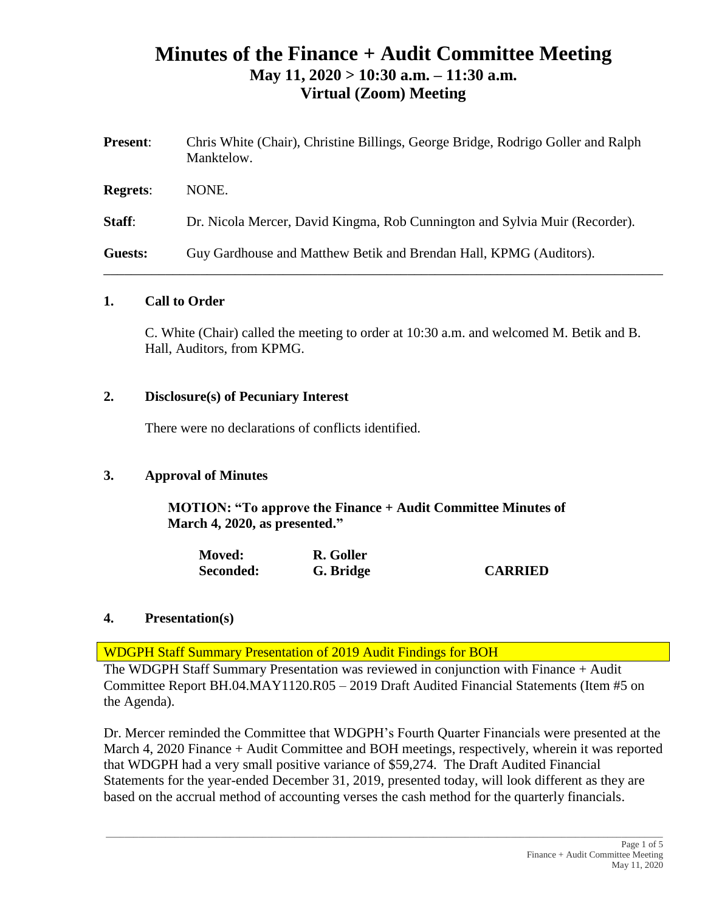# **Minutes of the Finance + Audit Committee Meeting May 11, 2020 > 10:30 a.m. – 11:30 a.m. Virtual (Zoom) Meeting**

| <b>Present:</b> | Chris White (Chair), Christine Billings, George Bridge, Rodrigo Goller and Ralph<br>Manktelow. |
|-----------------|------------------------------------------------------------------------------------------------|
| <b>Regrets:</b> | NONE.                                                                                          |
| Staff:          | Dr. Nicola Mercer, David Kingma, Rob Cunnington and Sylvia Muir (Recorder).                    |
| Guests:         | Guy Gardhouse and Matthew Betik and Brendan Hall, KPMG (Auditors).                             |

### **1. Call to Order**

C. White (Chair) called the meeting to order at 10:30 a.m. and welcomed M. Betik and B. Hall, Auditors, from KPMG.

### **2. Disclosure(s) of Pecuniary Interest**

There were no declarations of conflicts identified.

## **3. Approval of Minutes**

**MOTION: "To approve the Finance + Audit Committee Minutes of March 4, 2020, as presented."**

| <b>Moved:</b> | R. Goller |                |
|---------------|-----------|----------------|
| Seconded:     | G. Bridge | <b>CARRIED</b> |

## **4. Presentation(s)**

WDGPH Staff Summary Presentation of 2019 Audit Findings for BOH

The WDGPH Staff Summary Presentation was reviewed in conjunction with Finance + Audit Committee Report BH.04.MAY1120.R05 – 2019 Draft Audited Financial Statements (Item #5 on the Agenda).

Dr. Mercer reminded the Committee that WDGPH's Fourth Quarter Financials were presented at the March 4, 2020 Finance + Audit Committee and BOH meetings, respectively, wherein it was reported that WDGPH had a very small positive variance of \$59,274. The Draft Audited Financial Statements for the year-ended December 31, 2019, presented today, will look different as they are based on the accrual method of accounting verses the cash method for the quarterly financials.

 $\_$  , and the state of the state of the state of the state of the state of the state of the state of the state of the state of the state of the state of the state of the state of the state of the state of the state of the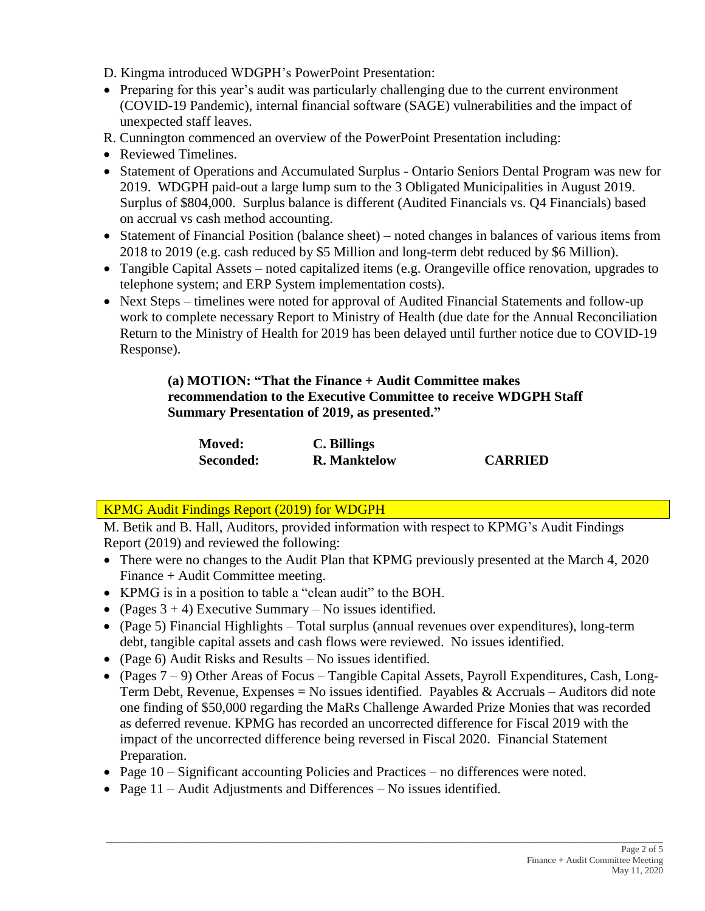D. Kingma introduced WDGPH's PowerPoint Presentation:

- Preparing for this year's audit was particularly challenging due to the current environment (COVID-19 Pandemic), internal financial software (SAGE) vulnerabilities and the impact of unexpected staff leaves.
- R. Cunnington commenced an overview of the PowerPoint Presentation including:
- Reviewed Timelines.
- Statement of Operations and Accumulated Surplus Ontario Seniors Dental Program was new for 2019. WDGPH paid-out a large lump sum to the 3 Obligated Municipalities in August 2019. Surplus of \$804,000. Surplus balance is different (Audited Financials vs. Q4 Financials) based on accrual vs cash method accounting.
- Statement of Financial Position (balance sheet) noted changes in balances of various items from 2018 to 2019 (e.g. cash reduced by \$5 Million and long-term debt reduced by \$6 Million).
- Tangible Capital Assets noted capitalized items (e.g. Orangeville office renovation, upgrades to telephone system; and ERP System implementation costs).
- Next Steps timelines were noted for approval of Audited Financial Statements and follow-up work to complete necessary Report to Ministry of Health (due date for the Annual Reconciliation Return to the Ministry of Health for 2019 has been delayed until further notice due to COVID-19 Response).

**(a) MOTION: "That the Finance + Audit Committee makes recommendation to the Executive Committee to receive WDGPH Staff Summary Presentation of 2019, as presented."**

| <b>Moved:</b> | C. Billings         |                |
|---------------|---------------------|----------------|
| Seconded:     | <b>R.</b> Manktelow | <b>CARRIED</b> |

# KPMG Audit Findings Report (2019) for WDGPH

M. Betik and B. Hall, Auditors, provided information with respect to KPMG's Audit Findings Report (2019) and reviewed the following:

- There were no changes to the Audit Plan that KPMG previously presented at the March 4, 2020 Finance + Audit Committee meeting.
- KPMG is in a position to table a "clean audit" to the BOH.
- (Pages  $3 + 4$ ) Executive Summary No issues identified.
- (Page 5) Financial Highlights Total surplus (annual revenues over expenditures), long-term debt, tangible capital assets and cash flows were reviewed. No issues identified.
- (Page 6) Audit Risks and Results No issues identified.
- (Pages  $7 9$ ) Other Areas of Focus Tangible Capital Assets, Payroll Expenditures, Cash, Long-Term Debt, Revenue, Expenses = No issues identified. Payables  $\&$  Accruals – Auditors did note one finding of \$50,000 regarding the MaRs Challenge Awarded Prize Monies that was recorded as deferred revenue. KPMG has recorded an uncorrected difference for Fiscal 2019 with the impact of the uncorrected difference being reversed in Fiscal 2020. Financial Statement Preparation.
- Page 10 Significant accounting Policies and Practices no differences were noted.
- Page 11 Audit Adjustments and Differences No issues identified.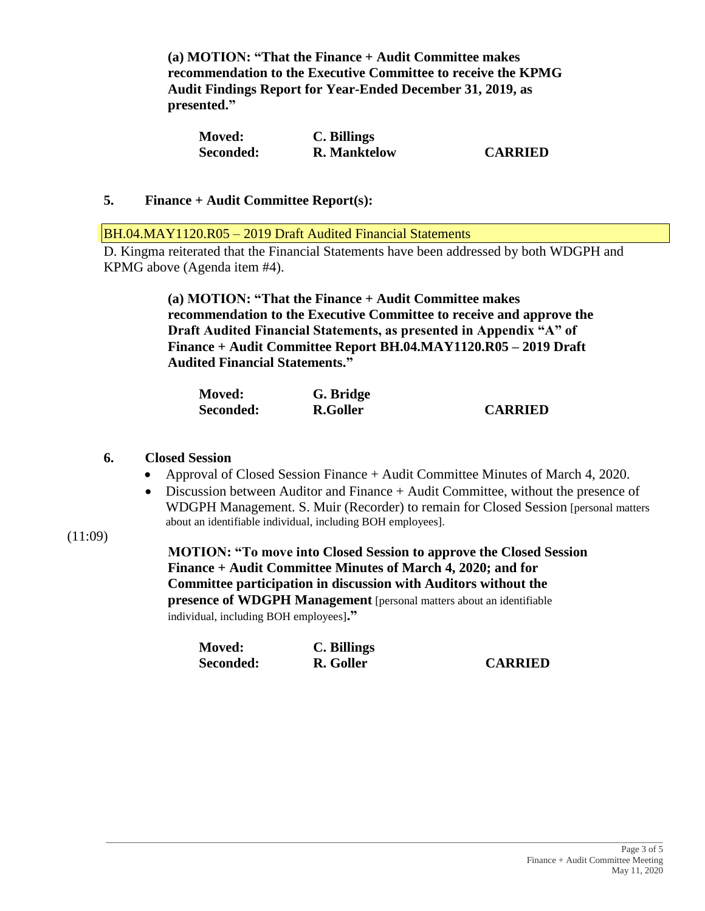**(a) MOTION: "That the Finance + Audit Committee makes recommendation to the Executive Committee to receive the KPMG Audit Findings Report for Year-Ended December 31, 2019, as presented."** 

| <b>Moved:</b> | C. Billings         |                |
|---------------|---------------------|----------------|
| Seconded:     | <b>R.</b> Manktelow | <b>CARRIED</b> |

### **5. Finance + Audit Committee Report(s):**

BH.04.MAY1120.R05 – 2019 Draft Audited Financial Statements

D. Kingma reiterated that the Financial Statements have been addressed by both WDGPH and KPMG above (Agenda item #4).

> **(a) MOTION: "That the Finance + Audit Committee makes recommendation to the Executive Committee to receive and approve the Draft Audited Financial Statements, as presented in Appendix "A" of Finance + Audit Committee Report BH.04.MAY1120.R05 – 2019 Draft Audited Financial Statements."**

| <b>Moved:</b> | G. Bridge |                |
|---------------|-----------|----------------|
| Seconded:     | R.Goller  | <b>CARRIED</b> |

#### **6. Closed Session**

- Approval of Closed Session Finance + Audit Committee Minutes of March 4, 2020.
- Discussion between Auditor and Finance + Audit Committee, without the presence of WDGPH Management. S. Muir (Recorder) to remain for Closed Session [personal matters about an identifiable individual, including BOH employees].
- $(11:09)$

**MOTION: "To move into Closed Session to approve the Closed Session Finance + Audit Committee Minutes of March 4, 2020; and for Committee participation in discussion with Auditors without the presence of WDGPH Management** [personal matters about an identifiable individual, including BOH employees]**."**

| <b>Moved:</b> | C. Billings |                |
|---------------|-------------|----------------|
| Seconded:     | R. Goller   | <b>CARRIED</b> |

 $\_$  ,  $\_$  ,  $\_$  ,  $\_$  ,  $\_$  ,  $\_$  ,  $\_$  ,  $\_$  ,  $\_$  ,  $\_$  ,  $\_$  ,  $\_$  ,  $\_$  ,  $\_$  ,  $\_$  ,  $\_$  ,  $\_$  ,  $\_$  ,  $\_$  ,  $\_$  ,  $\_$  ,  $\_$  ,  $\_$  ,  $\_$  ,  $\_$  ,  $\_$  ,  $\_$  ,  $\_$  ,  $\_$  ,  $\_$  ,  $\_$  ,  $\_$  ,  $\_$  ,  $\_$  ,  $\_$  ,  $\_$  ,  $\_$  ,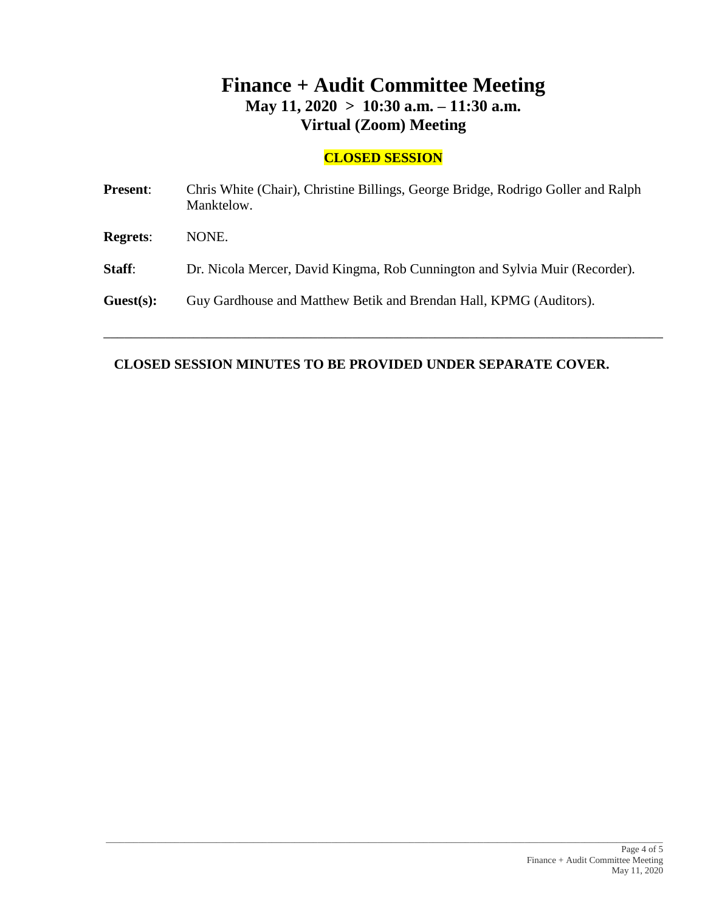# **Finance + Audit Committee Meeting May 11, 2020 > 10:30 a.m. – 11:30 a.m. Virtual (Zoom) Meeting**

## **CLOSED SESSION**

| <b>Present:</b> | Chris White (Chair), Christine Billings, George Bridge, Rodrigo Goller and Ralph<br>Manktelow. |
|-----------------|------------------------------------------------------------------------------------------------|
| <b>Regrets:</b> | NONE.                                                                                          |
| Staff:          | Dr. Nicola Mercer, David Kingma, Rob Cunnington and Sylvia Muir (Recorder).                    |
| Guest(s):       | Guy Gardhouse and Matthew Betik and Brendan Hall, KPMG (Auditors).                             |
|                 |                                                                                                |

\_\_\_\_\_\_\_\_\_\_\_\_\_\_\_\_\_\_\_\_\_\_\_\_\_\_\_\_\_\_\_\_\_\_\_\_\_\_\_\_\_\_\_\_\_\_\_\_\_\_\_\_\_\_\_\_\_\_\_\_\_\_\_\_\_\_\_\_\_\_\_\_\_\_\_\_\_\_\_\_\_

# **CLOSED SESSION MINUTES TO BE PROVIDED UNDER SEPARATE COVER.**

 $\_$  ,  $\_$  ,  $\_$  ,  $\_$  ,  $\_$  ,  $\_$  ,  $\_$  ,  $\_$  ,  $\_$  ,  $\_$  ,  $\_$  ,  $\_$  ,  $\_$  ,  $\_$  ,  $\_$  ,  $\_$  ,  $\_$  ,  $\_$  ,  $\_$  ,  $\_$  ,  $\_$  ,  $\_$  ,  $\_$  ,  $\_$  ,  $\_$  ,  $\_$  ,  $\_$  ,  $\_$  ,  $\_$  ,  $\_$  ,  $\_$  ,  $\_$  ,  $\_$  ,  $\_$  ,  $\_$  ,  $\_$  ,  $\_$  ,